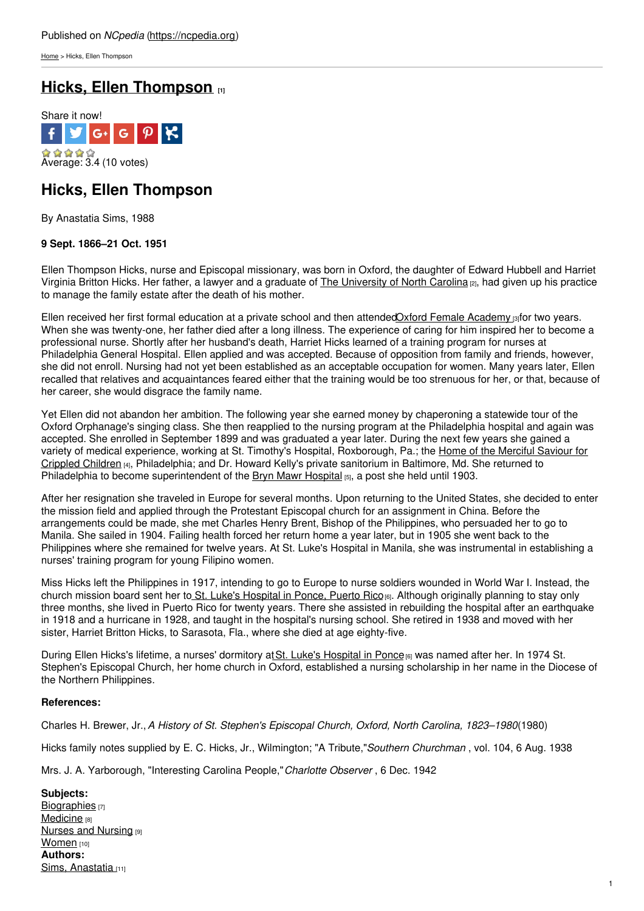[Home](https://ncpedia.org/) > Hicks, Ellen Thompson

# **Hicks, Ellen [Thompson](https://ncpedia.org/biography/hicks-ellen) [1]**



## **Hicks, Ellen Thompson**

By Anastatia Sims, 1988

### **9 Sept. 1866–21 Oct. 1951**

Ellen Thompson Hicks, nurse and Episcopal missionary, was born in Oxford, the daughter of Edward Hubbell and Harriet Virginia Britton Hicks. Her father, a lawyer and a graduate of The [University](https://ncpedia.org/university-north-carolina-chapel-hi) of North Carolina [2], had given up his practice to manage the family estate after the death of his [mother](http://www.social9.com).

Ellen received her first formal education at a private school and then attended Oxford Female [Academy](https://www.ncdcr.gov/about/history/division-historical-resources/nc-highway-historical-marker-program/Markers.aspx?MarkerId=G-45) [3]for two years. When she was twenty-one, her father died after a long illness. The experience of caring for him inspired her to become a professional nurse. Shortly after her husband's death, Harriet Hicks learned of a training program for nurses at Philadelphia General Hospital. Ellen applied and was accepted. Because of opposition from family and friends, however, she did not enroll. Nursing had not yet been established as an acceptable occupation for women. Many years later, Ellen recalled that relatives and acquaintances feared either that the training would be too strenuous for her, or that, because of her career, she would disgrace the family name.

Yet Ellen did not abandon her ambition. The following year she earned money by chaperoning a statewide tour of the Oxford Orphanage's singing class. She then reapplied to the nursing program at the Philadelphia hospital and again was accepted. She enrolled in September 1899 and was graduated a year later. During the next few years she gained a variety of medical experience, working at St. Timothy's Hospital, [Roxborough,](http://greatnonprofits.org/reviews/profile2/home-of-the-merciful-saviour-for-crippled-children) Pa.; the Home of the Merciful Saviour for Crippled Children [4], Philadelphia; and Dr. Howard Kelly's private sanitorium in Baltimore, Md. She returned to Philadelphia to become superintendent of the Bryn Mawr [Hospital](http://www.mainlinehealth.org/brynmawr) [5], a post she held until 1903.

After her resignation she traveled in Europe for several months. Upon returning to the United States, she decided to enter the mission field and applied through the Protestant Episcopal church for an assignment in China. Before the arrangements could be made, she met Charles Henry Brent, Bishop of the Philippines, who persuaded her to go to Manila. She sailed in 1904. Failing health forced her return home a year later, but in 1905 she went back to the Philippines where she remained for twelve years. At St. Luke's Hospital in Manila, she was instrumental in establishing a nurses' training program for young Filipino women.

Miss Hicks left the Philippines in 1917, intending to go to Europe to nurse soldiers wounded in World War I. Instead, the church mission board sent her to St. Luke's [Hospital](http://www.ssepr.com/) in Ponce, Puerto Rico<sub>[6]</sub>. Although originally planning to stay only three months, she lived in Puerto Rico for twenty years. There she assisted in rebuilding the hospital after an earthquake in 1918 and a hurricane in 1928, and taught in the hospital's nursing school. She retired in 1938 and moved with her sister, Harriet Britton Hicks, to Sarasota, Fla., where she died at age eighty-five.

During Ellen Hicks's lifetime, a nurses' dormitory at St. Luke's [Hospital](http://www.ssepr.com/) in Ponce [6] was named after her. In 1974 St. Stephen's Episcopal Church, her home church in Oxford, established a nursing scholarship in her name in the Diocese of the Northern Philippines.

#### **References:**

Charles H. Brewer, Jr.,*A History of St. Stephen's Episcopal Church, Oxford, North Carolina, 1823–1980*(1980)

Hicks family notes supplied by E. C. Hicks, Jr., Wilmington; "A Tribute,"*Southern Churchman* , vol. 104, 6 Aug. 1938

Mrs. J. A. Yarborough, "Interesting Carolina People,"*Charlotte Observer* , 6 Dec. 1942

**Subjects:** [Biographies](https://ncpedia.org/category/subjects/biography-term) [7] [Medicine](https://ncpedia.org/category/subjects/medicine) [8] **Nurses and [Nursing](https://ncpedia.org/category/subjects/nurses) [9]** [Women](https://ncpedia.org/category/subjects/women) [10] **Authors:** Sims, [Anastatia](https://ncpedia.org/category/authors/sims-anastatia) [11]